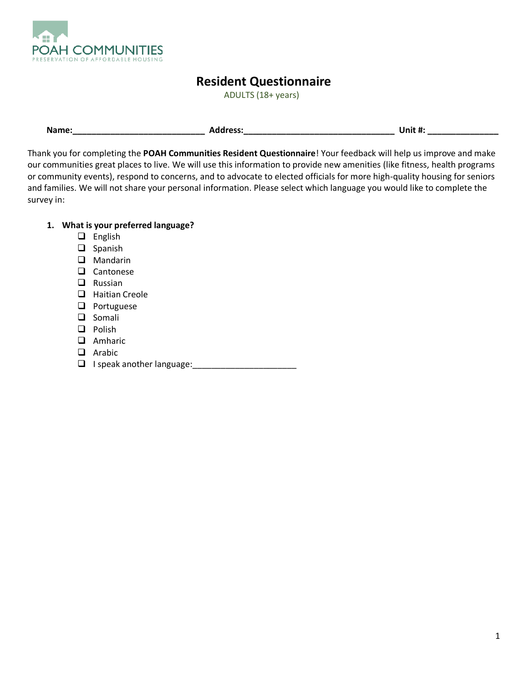

# **Resident Questionnaire**

ADULTS (18+ years)

| Name: | <b>Address:</b> | Unit #: |
|-------|-----------------|---------|
|       |                 |         |

Thank you for completing the **POAH Communities Resident Questionnaire**! Your feedback will help us improve and make our communities great places to live. We will use this information to provide new amenities (like fitness, health programs or community events), respond to concerns, and to advocate to elected officials for more high-quality housing for seniors and families. We will not share your personal information. Please select which language you would like to complete the survey in:

# **1. What is your preferred language?**

- ❑ English
- ❑ Spanish
- ❑ Mandarin
- ❑ Cantonese
- ❑ Russian
- ❑ Haitian Creole
- ❑ Portuguese
- ❑ Somali
- ❑ Polish
- ❑ Amharic
- ❑ Arabic
- $\Box$  I speak another language: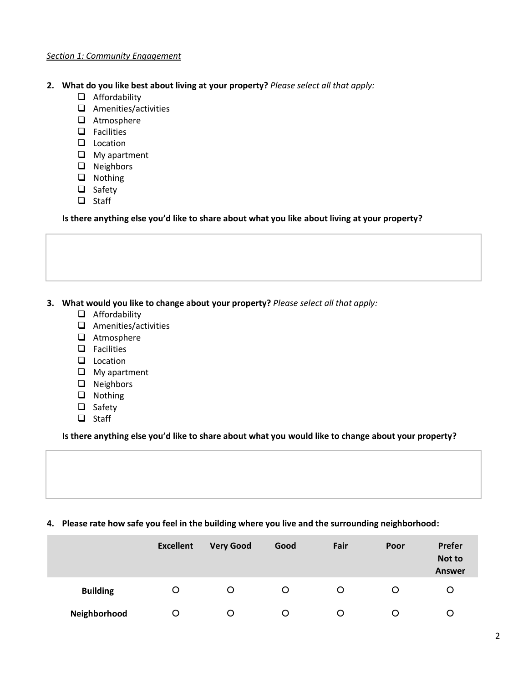#### *Section 1: Community Engagement*

- **2. What do you like best about living at your property?** *Please select all that apply:*
	- ❑ Affordability
	- ❑ Amenities/activities
	- ❑ Atmosphere
	- ❑ Facilities
	- ❑ Location
	- ❑ My apartment
	- ❑ Neighbors
	- ❑ Nothing
	- ❑ Safety
	- ❑ Staff

**Is there anything else you'd like to share about what you like about living at your property?**

- **3. What would you like to change about your property?** *Please select all that apply:*
	- ❑ Affordability
	- ❑ Amenities/activities
	- ❑ Atmosphere
	- ❑ Facilities
	- ❑ Location
	- ❑ My apartment
	- ❑ Neighbors
	- ❑ Nothing
	- ❑ Safety
	- ❑ Staff

## **Is there anything else you'd like to share about what you would like to change about your property?**

#### **4. Please rate how safe you feel in the building where you live and the surrounding neighborhood:**

|                 | <b>Excellent</b> | <b>Very Good</b> | Good | Fair | Poor | Prefer<br>Not to<br><b>Answer</b> |
|-----------------|------------------|------------------|------|------|------|-----------------------------------|
| <b>Building</b> | O                | O                | O    | O    | Ő    | Ő                                 |
| Neighborhood    | Ő                | Ő                | Ő    |      |      |                                   |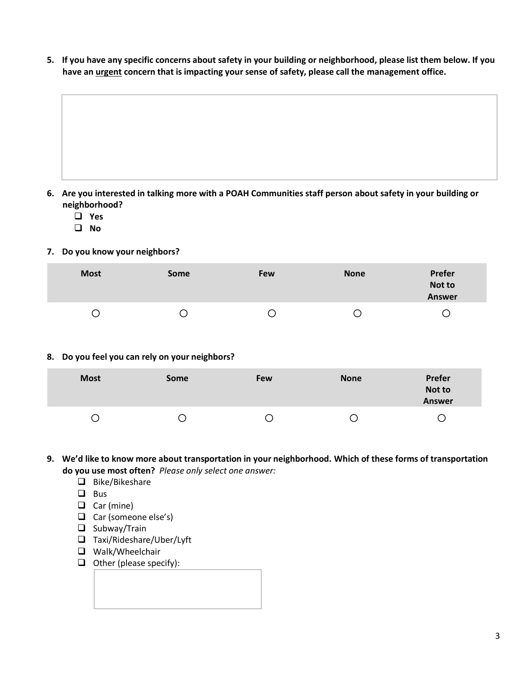**5. If you have any specific concerns about safety in your building or neighborhood, please list them below. If you have an urgent concern that is impacting your sense of safety, please call the management office.** 

- **6. Are you interested in talking more with a POAH Communities staff person about safety in your building or neighborhood?**
	- ❑ **Yes**
	- ❑ **No**
- **7. Do you know your neighbors?**

| <b>Most</b> | Some | Few | <b>None</b> | Prefer<br>Not to<br><b>Answer</b> |
|-------------|------|-----|-------------|-----------------------------------|
| С           | J    |     |             | ں                                 |

**8. Do you feel you can rely on your neighbors?**

| <b>Most</b> | Some | Few | <b>None</b> | Prefer<br>Not to<br><b>Answer</b> |
|-------------|------|-----|-------------|-----------------------------------|
|             |      |     |             |                                   |

- **9. We'd like to know more about transportation in your neighborhood. Which of these forms of transportation do you use most often?** *Please only select one answer:*
	- ❑ Bike/Bikeshare
	- ❑ Bus
	- ❑ Car (mine)
	- ❑ Car (someone else's)
	- ❑ Subway/Train
	- ❑ Taxi/Rideshare/Uber/Lyft
	- ❑ Walk/Wheelchair
	- ❑ Other (please specify):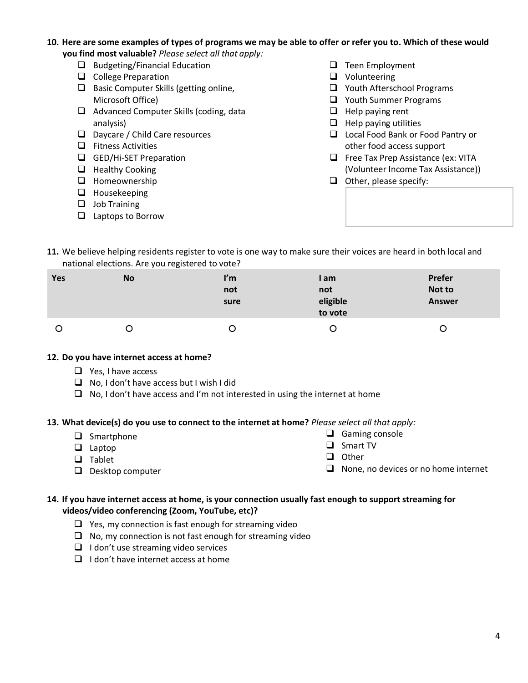- **10. Here are some examples of types of programs we may be able to offer or refer you to. Which of these would you find most valuable?** *Please select all that apply:*
	- ❑ Budgeting/Financial Education
	- ❑ College Preparation
	- ❑ Basic Computer Skills (getting online, Microsoft Office)
	- ❑ Advanced Computer Skills (coding, data analysis)
	- ❑ Daycare / Child Care resources
	- ❑ Fitness Activities
	- ❑ GED/Hi-SET Preparation
	- ❑ Healthy Cooking
	- ❑ Homeownership
	- ❑ Housekeeping
	- ❑ Job Training
	- ❑ Laptops to Borrow
- ❑ Teen Employment
- ❑ Volunteering
- ❑ Youth Afterschool Programs
- ❑ Youth Summer Programs
- ❑ Help paying rent
- ❑ Help paying utilities
- ❑ Local Food Bank or Food Pantry or other food access support
- ❑ Free Tax Prep Assistance (ex: VITA (Volunteer Income Tax Assistance))
- ❑ Other, please specify:

**11.** We believe helping residents register to vote is one way to make sure their voices are heard in both local and national elections. Are you registered to vote?

| Yes | No | ľm<br>not<br>sure | I am<br>not<br>eligible<br>to vote | Prefer<br>Not to<br><b>Answer</b> |
|-----|----|-------------------|------------------------------------|-----------------------------------|
| Ő   |    | Ő                 | Ő                                  | Ő                                 |

## **12. Do you have internet access at home?**

- ❑ Yes, I have access
- ❑ No, I don't have access but I wish I did
- ❑ No, I don't have access and I'm not interested in using the internet at home

## **13. What device(s) do you use to connect to the internet at home?** *Please select all that apply:*

- ❑ Smartphone
- ❑ Laptop
- ❑ Tablet
- ❑ Gaming console
- ❑ Smart TV
- ❑ Other

❑ Desktop computer

- 
- ❑ None, no devices or no home internet

## **14. If you have internet access at home, is your connection usually fast enough to support streaming for videos/video conferencing (Zoom, YouTube, etc)?**

- ❑ Yes, my connection is fast enough for streaming video
- ❑ No, my connection is not fast enough for streaming video
- ❑ I don't use streaming video services
- ❑ I don't have internet access at home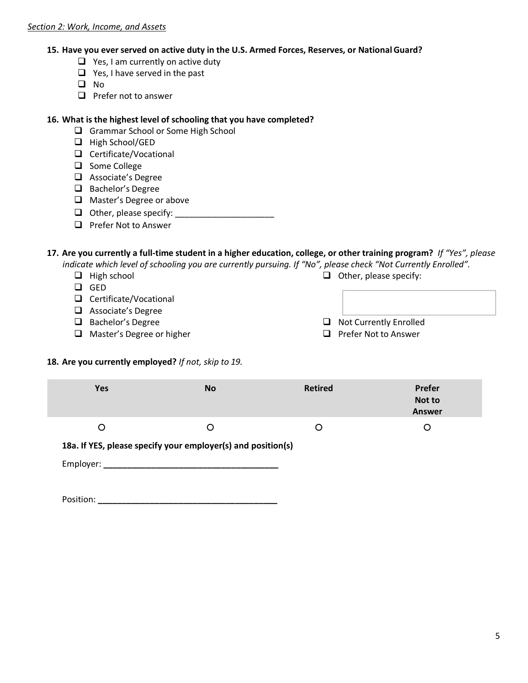## **15. Have you ever served on active duty in the U.S. Armed Forces, Reserves, or NationalGuard?**

- ❑ Yes, I am currently on active duty
- ❑ Yes, I have served in the past
- ❑ No
- ❑ Prefer not to answer

## **16. What is the highest level of schooling that you have completed?**

- ❑ Grammar School or Some High School
- ❑ High School/GED
- ❑ Certificate/Vocational
- ❑ Some College
- ❑ Associate's Degree
- ❑ Bachelor's Degree
- ❑ Master's Degree or above
- $\Box$  Other, please specify:
- ❑ Prefer Not to Answer

# **17. Are you currently a full-time student in a higher education, college, or other training program?** *If "Yes", please*

*indicate which level of schooling you are currently pursuing. If "No", please check "Not Currently Enrolled".* 

❑ High school

- ❑ GED
- ❑ Certificate/Vocational
- ❑ Associate's Degree
- ❑ Bachelor's Degree
- ❑ Master's Degree or higher
- ❑ Other, please specify:
- ❑ Not Currently Enrolled
- ❑ Prefer Not to Answer

# **18. Are you currently employed?** *If not, skip to 19.*

| <b>Yes</b> | <b>No</b>                                                    | <b>Retired</b> | <b>Prefer</b><br>Not to<br><b>Answer</b> |
|------------|--------------------------------------------------------------|----------------|------------------------------------------|
| O          |                                                              | O              | O                                        |
|            | 18a. If YES, please specify your employer(s) and position(s) |                |                                          |
| Employer:  |                                                              |                |                                          |

Position: **\_\_\_\_\_\_\_\_\_\_\_\_\_\_\_\_\_\_\_\_\_\_\_\_\_\_\_\_\_\_\_\_\_\_\_\_\_\_**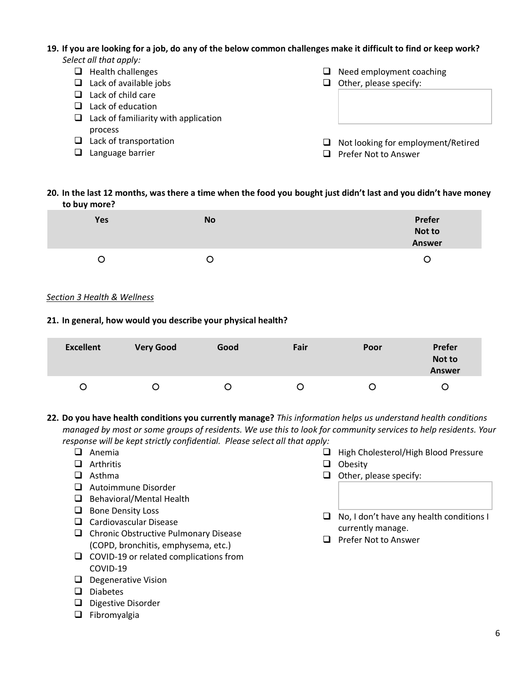# **19. If you are looking for a job, do any of the below common challenges make it difficult to find or keep work?**

|   | Select all that apply:               |   |                                    |
|---|--------------------------------------|---|------------------------------------|
| ⊔ | Health challenges                    | ப | Need employment coaching           |
| ப | Lack of available jobs               | ப | Other, please specify:             |
|   | Lack of child care                   |   |                                    |
|   | Lack of education                    |   |                                    |
| ப | Lack of familiarity with application |   |                                    |
|   | process                              |   |                                    |
|   | Lack of transportation               | ப | Not looking for employment/Retired |
|   | Language barrier                     |   | Prefer Not to Answer               |

## **20. In the last 12 months, was there a time when the food you bought just didn't last and you didn't have money to buy more?**

| <b>Yes</b> | <b>No</b> | Prefer<br>Not to |
|------------|-----------|------------------|
|            |           | <b>Answer</b>    |
| ◡          | Ő         | Ő                |

## *Section 3 Health & Wellness*

## **21. In general, how would you describe your physical health?**

| <b>Excellent</b> | <b>Very Good</b> | Good | Fair | Poor | Prefer<br>Not to<br><b>Answer</b> |
|------------------|------------------|------|------|------|-----------------------------------|
| O                | Ő                |      |      |      |                                   |

- **22. Do you have health conditions you currently manage?** *This information helps us understand health conditions managed by most or some groups of residents. We use this to look for community services to help residents. Your response will be kept strictly confidential. Please select all that apply:*
	- ❑ Anemia
	- ❑ Arthritis
	- ❑ Asthma
	- ❑ Autoimmune Disorder
	- ❑ Behavioral/Mental Health
	- ❑ Bone Density Loss
	- ❑ Cardiovascular Disease
	- ❑ Chronic Obstructive Pulmonary Disease (COPD, bronchitis, emphysema, etc.)
	- ❑ COVID-19 or related complications from COVID-19
	- ❑ Degenerative Vision
	- ❑ Diabetes
	- ❑ Digestive Disorder
	- ❑ Fibromyalgia
- ❑ High Cholesterol/High Blood Pressure
- ❑ Obesity
- ❑ Other, please specify:
- ❑ No, I don't have any health conditions I currently manage.
- ❑ Prefer Not to Answer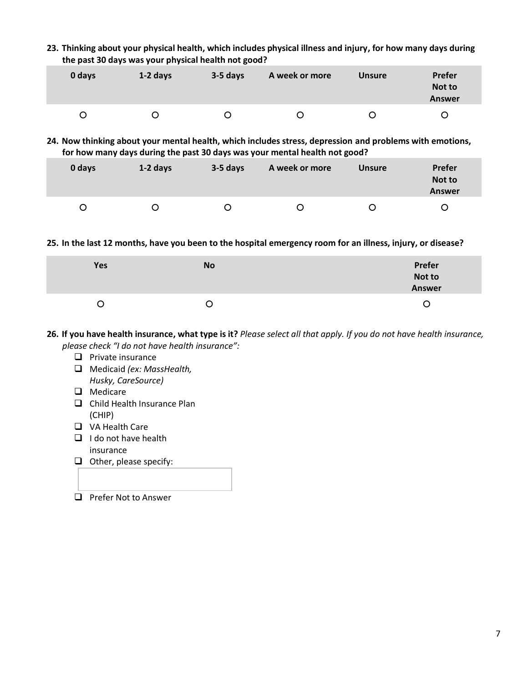**23. Thinking about your physical health, which includes physical illness and injury, for how many days during the past 30 days was your physical health not good?**

| 0 days | $1-2$ days | $3-5$ days | A week or more | <b>Unsure</b> | <b>Prefer</b><br>Not to<br><b>Answer</b> |
|--------|------------|------------|----------------|---------------|------------------------------------------|
|        |            |            |                | 0             |                                          |

**24. Now thinking about your mental health, which includes stress, depression and problems with emotions, for how many days during the past 30 days was your mental health not good?** 

| 0 days | $1-2$ days | 3-5 days | A week or more | <b>Unsure</b> | Prefer<br>Not to<br><b>Answer</b> |
|--------|------------|----------|----------------|---------------|-----------------------------------|
|        | Ő          |          | O              | Ő             |                                   |

**25. In the last 12 months, have you been to the hospital emergency room for an illness, injury, or disease?**

| Yes | <b>No</b> | Prefer<br>Not to<br><u>and the company of the company of the company of the company of the company of the company of the company of the company of the company of the company of the company of the company of the company of the company of the com</u><br><b>Answer</b> |
|-----|-----------|---------------------------------------------------------------------------------------------------------------------------------------------------------------------------------------------------------------------------------------------------------------------------|
|     | O         | 0                                                                                                                                                                                                                                                                         |

**26. If you have health insurance, what type is it?** *Please select all that apply. If you do not have health insurance, please check "I do not have health insurance":*

- ❑ Private insurance
- ❑ Medicaid *(ex: MassHealth, Husky, CareSource)*
- ❑ Medicare
- ❑ Child Health Insurance Plan (CHIP)
- ❑ VA Health Care
- ❑ I do not have health insurance
- ❑ Other, please specify:
- ❑ Prefer Not to Answer